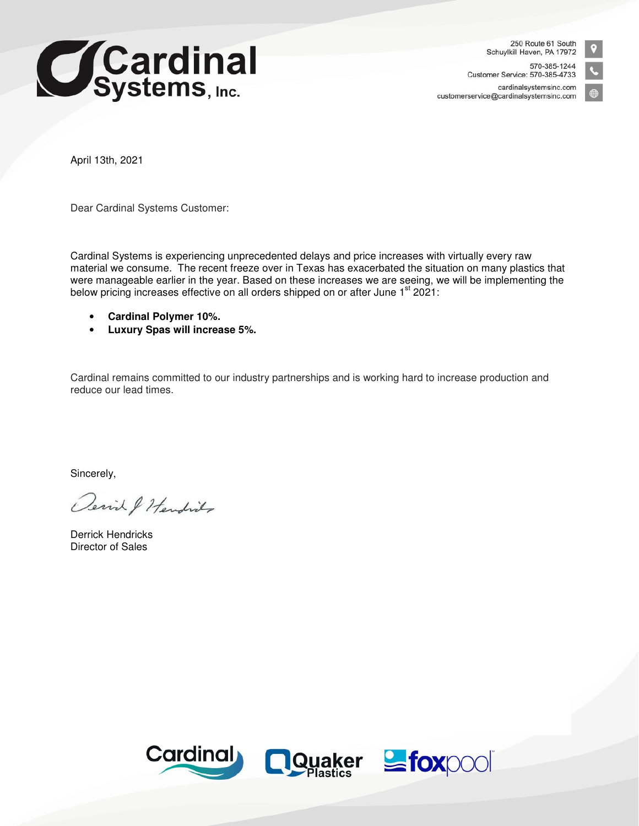

250 Route 61 South Schuylkill Haven, PA 17972

570-385-1244 Customer Service: 570-385-4733 cardinalsystemsinc.com customerservice@cardinalsystemsinc.com



April 13th, 2021

Dear Cardinal Systems Customer:

Cardinal Systems is experiencing unprecedented delays and price increases with virtually every raw material we consume. The recent freeze over in Texas has exacerbated the situation on many plastics that were manageable earlier in the year. Based on these increases we are seeing, we will be implementing the below pricing increases effective on all orders shipped on or after June 1<sup>st</sup> 2021:

- **Cardinal Polymer 10%.**
- **Luxury Spas will increase 5%.**

Cardinal remains committed to our industry partnerships and is working hard to increase production and reduce our lead times.

Sincerely,

Derich & Hendrids

Derrick Hendricks Director of Sales